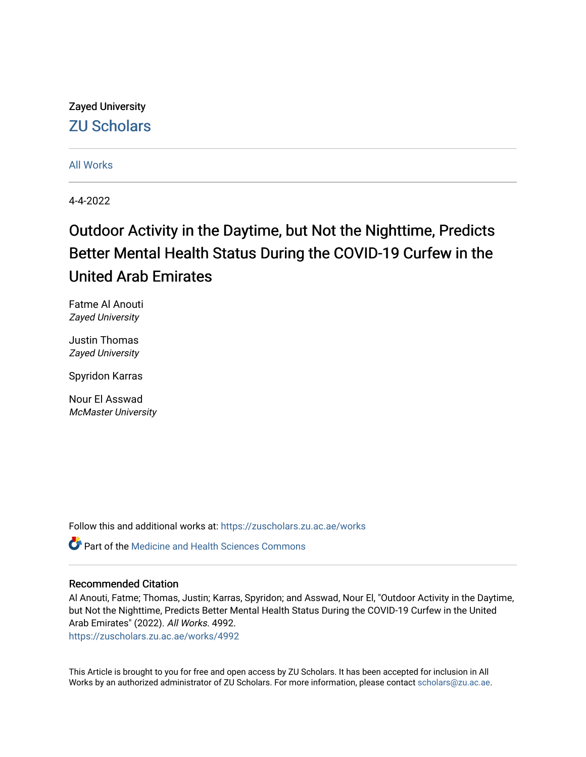Zayed University [ZU Scholars](https://zuscholars.zu.ac.ae/) 

[All Works](https://zuscholars.zu.ac.ae/works)

4-4-2022

# Outdoor Activity in the Daytime, but Not the Nighttime, Predicts Better Mental Health Status During the COVID-19 Curfew in the United Arab Emirates

Fatme Al Anouti Zayed University

Justin Thomas Zayed University

Spyridon Karras

Nour El Asswad McMaster University

Follow this and additional works at: [https://zuscholars.zu.ac.ae/works](https://zuscholars.zu.ac.ae/works?utm_source=zuscholars.zu.ac.ae%2Fworks%2F4992&utm_medium=PDF&utm_campaign=PDFCoverPages)

Part of the [Medicine and Health Sciences Commons](https://network.bepress.com/hgg/discipline/648?utm_source=zuscholars.zu.ac.ae%2Fworks%2F4992&utm_medium=PDF&utm_campaign=PDFCoverPages) 

### Recommended Citation

Al Anouti, Fatme; Thomas, Justin; Karras, Spyridon; and Asswad, Nour El, "Outdoor Activity in the Daytime, but Not the Nighttime, Predicts Better Mental Health Status During the COVID-19 Curfew in the United Arab Emirates" (2022). All Works. 4992.

[https://zuscholars.zu.ac.ae/works/4992](https://zuscholars.zu.ac.ae/works/4992?utm_source=zuscholars.zu.ac.ae%2Fworks%2F4992&utm_medium=PDF&utm_campaign=PDFCoverPages)

This Article is brought to you for free and open access by ZU Scholars. It has been accepted for inclusion in All Works by an authorized administrator of ZU Scholars. For more information, please contact [scholars@zu.ac.ae](mailto:scholars@zu.ac.ae).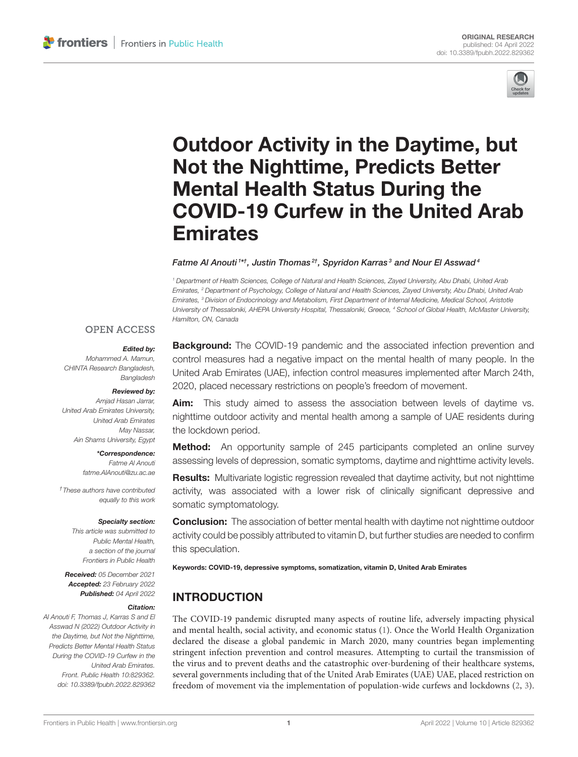

# Outdoor Activity in the Daytime, but Not the Nighttime, Predicts Better Mental Health Status During the [COVID-19 Curfew in the United Arab](https://www.frontiersin.org/articles/10.3389/fpubh.2022.829362/full) Emirates

#### Fatme Al Anouti  $^\mathrm{1*+}$ , Justin Thomas $^{2\dagger}$ , Spyridon Karras $^3$  and Nour El Asswad $^4$

*<sup>1</sup> Department of Health Sciences, College of Natural and Health Sciences, Zayed University, Abu Dhabi, United Arab Emirates, <sup>2</sup> Department of Psychology, College of Natural and Health Sciences, Zayed University, Abu Dhabi, United Arab Emirates, <sup>3</sup> Division of Endocrinology and Metabolism, First Department of Internal Medicine, Medical School, Aristotle University of Thessaloniki, AHEPA University Hospital, Thessaloniki, Greece, <sup>4</sup> School of Global Health, McMaster University, Hamilton, ON, Canada*

#### **OPEN ACCESS**

#### Edited by:

*Mohammed A. Mamun, CHINTA Research Bangladesh, Bangladesh*

#### Reviewed by:

*Amjad Hasan Jarrar, United Arab Emirates University, United Arab Emirates May Nassar, Ain Shams University, Egypt*

#### \*Correspondence:

*Fatme Al Anouti [fatme.AlAnouti@zu.ac.ae](mailto:fatme.AlAnouti@zu.ac.ae)*

*†These authors have contributed equally to this work*

#### Specialty section:

*This article was submitted to Public Mental Health, a section of the journal Frontiers in Public Health*

Received: *05 December 2021* Accepted: *23 February 2022* Published: *04 April 2022*

#### Citation:

*Al Anouti F, Thomas J, Karras S and El Asswad N (2022) Outdoor Activity in the Daytime, but Not the Nighttime, Predicts Better Mental Health Status During the COVID-19 Curfew in the United Arab Emirates. Front. Public Health 10:829362. doi: [10.3389/fpubh.2022.829362](https://doi.org/10.3389/fpubh.2022.829362)*

**Background:** The COVID-19 pandemic and the associated infection prevention and control measures had a negative impact on the mental health of many people. In the United Arab Emirates (UAE), infection control measures implemented after March 24th, 2020, placed necessary restrictions on people's freedom of movement.

Aim: This study aimed to assess the association between levels of daytime vs. nighttime outdoor activity and mental health among a sample of UAE residents during the lockdown period.

**Method:** An opportunity sample of 245 participants completed an online survey assessing levels of depression, somatic symptoms, daytime and nighttime activity levels.

Results: Multivariate logistic regression revealed that daytime activity, but not nighttime activity, was associated with a lower risk of clinically significant depressive and somatic symptomatology.

**Conclusion:** The association of better mental health with daytime not nighttime outdoor activity could be possibly attributed to vitamin D, but further studies are needed to confirm this speculation.

Keywords: COVID-19, depressive symptoms, somatization, vitamin D, United Arab Emirates

# INTRODUCTION

The COVID-19 pandemic disrupted many aspects of routine life, adversely impacting physical and mental health, social activity, and economic status [\(1\)](#page-8-0). Once the World Health Organization declared the disease a global pandemic in March 2020, many countries began implementing stringent infection prevention and control measures. Attempting to curtail the transmission of the virus and to prevent deaths and the catastrophic over-burdening of their healthcare systems, several governments including that of the United Arab Emirates (UAE) UAE, placed restriction on freedom of movement via the implementation of population-wide curfews and lockdowns [\(2,](#page-8-1) [3\)](#page-8-2).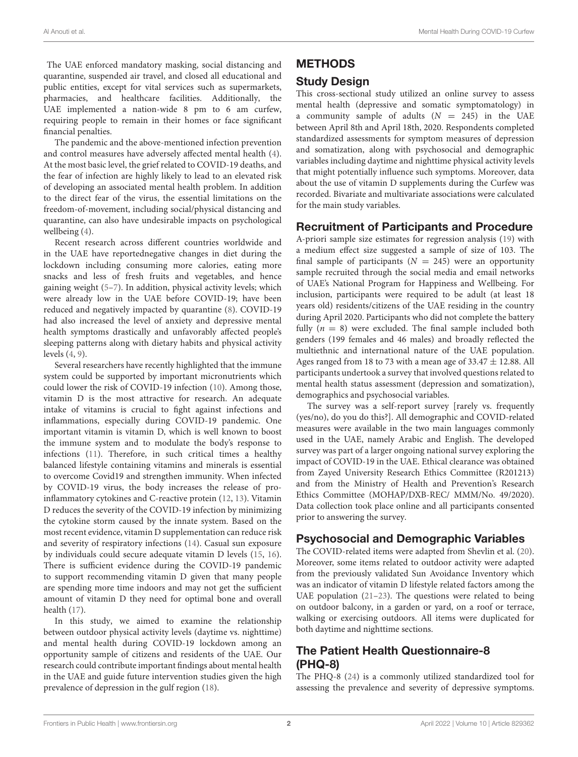The UAE enforced mandatory masking, social distancing and quarantine, suspended air travel, and closed all educational and public entities, except for vital services such as supermarkets, pharmacies, and healthcare facilities. Additionally, the UAE implemented a nation-wide 8 pm to 6 am curfew, requiring people to remain in their homes or face significant financial penalties.

The pandemic and the above-mentioned infection prevention and control measures have adversely affected mental health [\(4\)](#page-8-3). At the most basic level, the grief related to COVID-19 deaths, and the fear of infection are highly likely to lead to an elevated risk of developing an associated mental health problem. In addition to the direct fear of the virus, the essential limitations on the freedom-of-movement, including social/physical distancing and quarantine, can also have undesirable impacts on psychological wellbeing [\(4\)](#page-8-3).

Recent research across different countries worldwide and in the UAE have reportednegative changes in diet during the lockdown including consuming more calories, eating more snacks and less of fresh fruits and vegetables, and hence gaining weight [\(5–](#page-8-4)[7\)](#page-8-5). In addition, physical activity levels; which were already low in the UAE before COVID-19; have been reduced and negatively impacted by quarantine [\(8\)](#page-8-6). COVID-19 had also increased the level of anxiety and depressive mental health symptoms drastically and unfavorably affected people's sleeping patterns along with dietary habits and physical activity levels [\(4,](#page-8-3) [9\)](#page-8-7).

Several researchers have recently highlighted that the immune system could be supported by important micronutrients which could lower the risk of COVID-19 infection [\(10\)](#page-8-8). Among those, vitamin D is the most attractive for research. An adequate intake of vitamins is crucial to fight against infections and inflammations, especially during COVID-19 pandemic. One important vitamin is vitamin D, which is well known to boost the immune system and to modulate the body's response to infections [\(11\)](#page-8-9). Therefore, in such critical times a healthy balanced lifestyle containing vitamins and minerals is essential to overcome Covid19 and strengthen immunity. When infected by COVID-19 virus, the body increases the release of proinflammatory cytokines and C-reactive protein [\(12,](#page-8-10) [13\)](#page-8-11). Vitamin D reduces the severity of the COVID-19 infection by minimizing the cytokine storm caused by the innate system. Based on the most recent evidence, vitamin D supplementation can reduce risk and severity of respiratory infections [\(14\)](#page-8-12). Casual sun exposure by individuals could secure adequate vitamin D levels [\(15,](#page-8-13) [16\)](#page-8-14). There is sufficient evidence during the COVID-19 pandemic to support recommending vitamin D given that many people are spending more time indoors and may not get the sufficient amount of vitamin D they need for optimal bone and overall health [\(17\)](#page-8-15).

In this study, we aimed to examine the relationship between outdoor physical activity levels (daytime vs. nighttime) and mental health during COVID-19 lockdown among an opportunity sample of citizens and residents of the UAE. Our research could contribute important findings about mental health in the UAE and guide future intervention studies given the high prevalence of depression in the gulf region [\(18\)](#page-8-16).

# **METHODS**

## Study Design

This cross-sectional study utilized an online survey to assess mental health (depressive and somatic symptomatology) in a community sample of adults  $(N = 245)$  in the UAE between April 8th and April 18th, 2020. Respondents completed standardized assessments for symptom measures of depression and somatization, along with psychosocial and demographic variables including daytime and nighttime physical activity levels that might potentially influence such symptoms. Moreover, data about the use of vitamin D supplements during the Curfew was recorded. Bivariate and multivariate associations were calculated for the main study variables.

## Recruitment of Participants and Procedure

A-priori sample size estimates for regression analysis [\(19\)](#page-8-17) with a medium effect size suggested a sample of size of 103. The final sample of participants ( $N = 245$ ) were an opportunity sample recruited through the social media and email networks of UAE's National Program for Happiness and Wellbeing. For inclusion, participants were required to be adult (at least 18 years old) residents/citizens of the UAE residing in the country during April 2020. Participants who did not complete the battery fully  $(n = 8)$  were excluded. The final sample included both genders (199 females and 46 males) and broadly reflected the multiethnic and international nature of the UAE population. Ages ranged from 18 to 73 with a mean age of  $33.47 \pm 12.88$ . All participants undertook a survey that involved questions related to mental health status assessment (depression and somatization), demographics and psychosocial variables.

The survey was a self-report survey [rarely vs. frequently (yes/no), do you do this?]. All demographic and COVID-related measures were available in the two main languages commonly used in the UAE, namely Arabic and English. The developed survey was part of a larger ongoing national survey exploring the impact of COVID-19 in the UAE. Ethical clearance was obtained from Zayed University Research Ethics Committee (R201213) and from the Ministry of Health and Prevention's Research Ethics Committee (MOHAP/DXB-REC/ MMM/No. 49/2020). Data collection took place online and all participants consented prior to answering the survey.

## Psychosocial and Demographic Variables

The COVID-related items were adapted from Shevlin et al. [\(20\)](#page-8-18). Moreover, some items related to outdoor activity were adapted from the previously validated Sun Avoidance Inventory which was an indicator of vitamin D lifestyle related factors among the UAE population [\(21–](#page-8-19)[23\)](#page-8-20). The questions were related to being on outdoor balcony, in a garden or yard, on a roof or terrace, walking or exercising outdoors. All items were duplicated for both daytime and nighttime sections.

# The Patient Health Questionnaire-8 (PHQ-8)

The PHQ-8 [\(24\)](#page-8-21) is a commonly utilized standardized tool for assessing the prevalence and severity of depressive symptoms.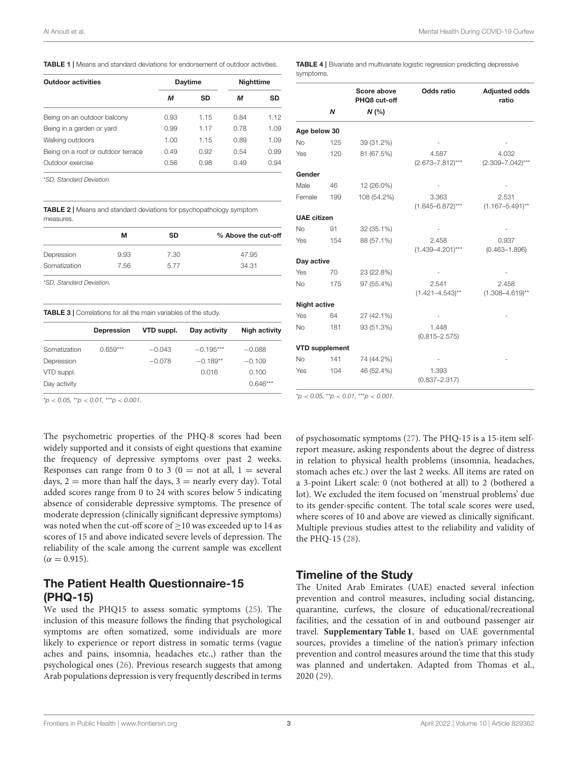<span id="page-3-0"></span>**TABLE 1** | Means and standard deviations for endorsement of outdoor activities.

| <b>Outdoor activities</b>          |      | <b>Daytime</b> | Nighttime |      |
|------------------------------------|------|----------------|-----------|------|
|                                    | м    | <b>SD</b>      | м         | SD   |
| Being on an outdoor balcony        | 0.93 | 1.15           | 0.84      | 1.12 |
| Being in a garden or yard          | 0.99 | 1.17           | 0.78      | 1.09 |
| Walking outdoors                   | 1.00 | 1.15           | 0.89      | 1.09 |
| Being on a roof or outdoor terrace | 0.49 | 0.92           | 0.54      | 0.99 |
| Outdoor exercise                   | 0.56 | 0.98           | 0.49      | 0.94 |

\**SD, Standard Deviation.*

<span id="page-3-1"></span>TABLE 2 | Means and standard deviations for psychopathology symptom measures.

|                          | м    | <b>SD</b> | % Above the cut-off |
|--------------------------|------|-----------|---------------------|
| Depression               | 9.93 | 7.30      | 47.95               |
| Somatization             | 7.56 | 5.77      | 34.31               |
| *SD. Standard Deviation. |      |           |                     |

<span id="page-3-2"></span>TABLE 3 | Correlations for all the main variables of the study.

|              | <b>Depression</b> | VTD suppl. | Day activity | Nigh activity |
|--------------|-------------------|------------|--------------|---------------|
| Somatization | $0.659***$        | $-0.043$   | $-0.195***$  | $-0.088$      |
| Depression   |                   | $-0.078$   | $-0.189**$   | $-0.109$      |
| VTD suppl.   |                   |            | 0.016        | 0.100         |
| Day activity |                   |            |              | $0.646***$    |
|              |                   |            |              |               |

\**p* < *0.05,* \*\**p* < *0.01,* \*\*\**p* < *0.001.*

The psychometric properties of the PHQ-8 scores had been widely supported and it consists of eight questions that examine the frequency of depressive symptoms over past 2 weeks. Responses can range from 0 to 3 ( $0 =$  not at all,  $1 =$  several days,  $2 =$  more than half the days,  $3 =$  nearly every day). Total added scores range from 0 to 24 with scores below 5 indicating absence of considerable depressive symptoms. The presence of moderate depression (clinically significant depressive symptoms) was noted when the cut-off score of  $\geq$  10 was exceeded up to 14 as scores of 15 and above indicated severe levels of depression. The reliability of the scale among the current sample was excellent  $(\alpha = 0.915).$ 

## The Patient Health Questionnaire-15 (PHQ-15)

We used the PHQ15 to assess somatic symptoms [\(25\)](#page-8-22). The inclusion of this measure follows the finding that psychological symptoms are often somatized, some individuals are more likely to experience or report distress in somatic terms (vague aches and pains, insomnia, headaches etc.,) rather than the psychological ones [\(26\)](#page-8-23). Previous research suggests that among Arab populations depression is very frequently described in terms <span id="page-3-3"></span>TABLE 4 | Bivariate and multivariate logistic regression predicting depressive symptoms.

|                       |     | Score above<br>PHQ8 cut-off | <b>Odds ratio</b>              | <b>Adjusted odds</b><br>ratio  |
|-----------------------|-----|-----------------------------|--------------------------------|--------------------------------|
|                       | N   | N(%                         |                                |                                |
| Age below 30          |     |                             |                                |                                |
| <b>No</b>             | 125 | 39 (31.2%)                  |                                |                                |
| Yes                   | 120 | 81 (67.5%)                  | 4.587<br>$(2.673 - 7.812)***$  | 4.032<br>$(2.309 - 7.042)$ *** |
| Gender                |     |                             |                                |                                |
| Male                  | 46  | 12 (26.0%)                  |                                |                                |
| Female                | 199 | 108 (54.2%)                 | 3.363<br>$(1.645 - 6.872)$ *** | 2.531<br>$(1.167 - 5.491)$ **  |
| <b>UAE</b> citizen    |     |                             |                                |                                |
| <b>No</b>             | 91  | 32 (35.1%)                  |                                |                                |
| Yes                   | 154 | 88 (57.1%)                  | 2.458<br>$(1.439 - 4.201)$ *** | 0.937<br>$(0.463 - 1.896)$     |
| Day active            |     |                             |                                |                                |
| Yes                   | 70  | 23 (22.8%)                  |                                |                                |
| <b>No</b>             | 175 | 97 (55.4%)                  | 2.541<br>$(1.421 - 4.543)$ **  | 2.458<br>$(1.308 - 4.619)$ **  |
| <b>Night active</b>   |     |                             |                                |                                |
| Yes                   | 64  | 27 (42.1%)                  |                                |                                |
| <b>No</b>             | 181 | 93 (51.3%)                  | 1.448<br>$(0.815 - 2.575)$     |                                |
| <b>VTD supplement</b> |     |                             |                                |                                |
| <b>No</b>             | 141 | 74 (44.2%)                  |                                |                                |
| Yes                   | 104 | 46 (52.4%)                  | 1.393<br>$(0.837 - 2.317)$     |                                |

\**p* < *0.05,* \*\**p* < *0.01,* \*\*\**p* < *0.001.*

of psychosomatic symptoms [\(27\)](#page-8-24). The PHQ-15 is a 15-item selfreport measure, asking respondents about the degree of distress in relation to physical health problems (insomnia, headaches, stomach aches etc.) over the last 2 weeks. All items are rated on a 3-point Likert scale: 0 (not bothered at all) to 2 (bothered a lot). We excluded the item focused on 'menstrual problems' due to its gender-specific content. The total scale scores were used, where scores of 10 and above are viewed as clinically significant. Multiple previous studies attest to the reliability and validity of the PHQ-15 [\(28\)](#page-8-25).

#### Timeline of the Study

The United Arab Emirates (UAE) enacted several infection prevention and control measures, including social distancing, quarantine, curfews, the closure of educational/recreational facilities, and the cessation of in and outbound passenger air travel. **[Supplementary Table 1](#page-7-0)**, based on UAE governmental sources, provides a timeline of the nation's primary infection prevention and control measures around the time that this study was planned and undertaken. Adapted from Thomas et al., 2020 [\(29\)](#page-8-26).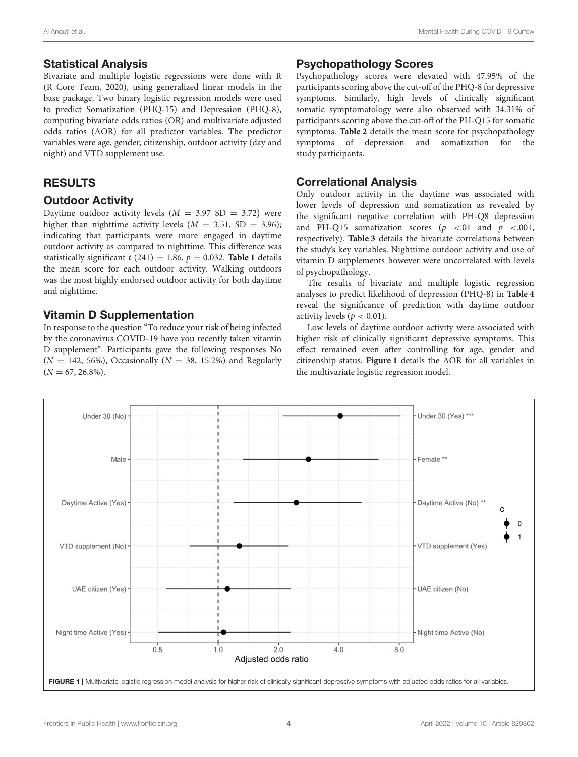## Statistical Analysis

Bivariate and multiple logistic regressions were done with R (R Core Team, 2020), using generalized linear models in the base package. Two binary logistic regression models were used to predict Somatization (PHQ-15) and Depression (PHQ-8), computing bivariate odds ratios (OR) and multivariate adjusted odds ratios (AOR) for all predictor variables. The predictor variables were age, gender, citizenship, outdoor activity (day and night) and VTD supplement use.

# RESULTS

# Outdoor Activity

Daytime outdoor activity levels ( $M = 3.97$  SD = 3.72) were higher than nighttime activity levels  $(M = 3.51, SD = 3.96)$ ; indicating that participants were more engaged in daytime outdoor activity as compared to nighttime. This difference was statistically significant  $t$  (241) = 1.86,  $p = 0.032$ . **[Table 1](#page-3-0)** details the mean score for each outdoor activity. Walking outdoors was the most highly endorsed outdoor activity for both daytime and nighttime.

# Vitamin D Supplementation

In response to the question "To reduce your risk of being infected by the coronavirus COVID-19 have you recently taken vitamin D supplement". Participants gave the following responses No  $(N = 142, 56\%)$ , Occasionally  $(N = 38, 15.2\%)$  and Regularly  $(N = 67, 26.8\%).$ 

# Psychopathology Scores

Psychopathology scores were elevated with 47.95% of the participants scoring above the cut-off of the PHQ-8 for depressive symptoms. Similarly, high levels of clinically significant somatic symptomatology were also observed with 34.31% of participants scoring above the cut-off of the PH-Q15 for somatic symptoms. **[Table 2](#page-3-1)** details the mean score for psychopathology symptoms of depression and somatization for the study participants.

# Correlational Analysis

Only outdoor activity in the daytime was associated with lower levels of depression and somatization as revealed by the significant negative correlation with PH-Q8 depression and PH-Q15 somatization scores  $(p \lt 0.01 \text{ and } p \lt 0.001)$ , respectively). **[Table 3](#page-3-2)** details the bivariate correlations between the study's key variables. Nighttime outdoor activity and use of vitamin D supplements however were uncorrelated with levels of psychopathology.

The results of bivariate and multiple logistic regression analyses to predict likelihood of depression (PHQ-8) in **[Table 4](#page-3-3)** reveal the significance of prediction with daytime outdoor activity levels ( $p < 0.01$ ).

Low levels of daytime outdoor activity were associated with higher risk of clinically significant depressive symptoms. This effect remained even after controlling for age, gender and citizenship status. **[Figure 1](#page-4-0)** details the AOR for all variables in the multivariate logistic regression model.

<span id="page-4-0"></span>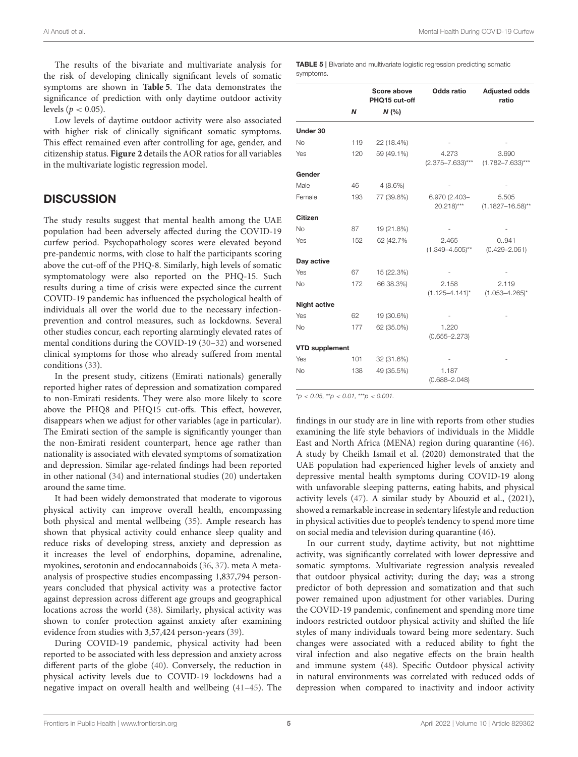The results of the bivariate and multivariate analysis for the risk of developing clinically significant levels of somatic symptoms are shown in **[Table 5](#page-5-0)**. The data demonstrates the significance of prediction with only daytime outdoor activity levels ( $p < 0.05$ ).

Low levels of daytime outdoor activity were also associated with higher risk of clinically significant somatic symptoms. This effect remained even after controlling for age, gender, and citizenship status. **[Figure 2](#page-6-0)** details the AOR ratios for all variables in the multivariate logistic regression model.

## **DISCUSSION**

The study results suggest that mental health among the UAE population had been adversely affected during the COVID-19 curfew period. Psychopathology scores were elevated beyond pre-pandemic norms, with close to half the participants scoring above the cut-off of the PHQ-8. Similarly, high levels of somatic symptomatology were also reported on the PHQ-15. Such results during a time of crisis were expected since the current COVID-19 pandemic has influenced the psychological health of individuals all over the world due to the necessary infectionprevention and control measures, such as lockdowns. Several other studies concur, each reporting alarmingly elevated rates of mental conditions during the COVID-19 [\(30](#page-8-27)[–32\)](#page-8-28) and worsened clinical symptoms for those who already suffered from mental conditions [\(33\)](#page-8-29).

In the present study, citizens (Emirati nationals) generally reported higher rates of depression and somatization compared to non-Emirati residents. They were also more likely to score above the PHQ8 and PHQ15 cut-offs. This effect, however, disappears when we adjust for other variables (age in particular). The Emirati section of the sample is significantly younger than the non-Emirati resident counterpart, hence age rather than nationality is associated with elevated symptoms of somatization and depression. Similar age-related findings had been reported in other national [\(34\)](#page-8-30) and international studies [\(20\)](#page-8-18) undertaken around the same time.

It had been widely demonstrated that moderate to vigorous physical activity can improve overall health, encompassing both physical and mental wellbeing [\(35\)](#page-8-31). Ample research has shown that physical activity could enhance sleep quality and reduce risks of developing stress, anxiety and depression as it increases the level of endorphins, dopamine, adrenaline, myokines, serotonin and endocannaboids [\(36,](#page-8-32) [37\)](#page-8-33). meta A metaanalysis of prospective studies encompassing 1,837,794 personyears concluded that physical activity was a protective factor against depression across different age groups and geographical locations across the world [\(38\)](#page-8-34). Similarly, physical activity was shown to confer protection against anxiety after examining evidence from studies with 3,57,424 person-years [\(39\)](#page-8-35).

During COVID-19 pandemic, physical activity had been reported to be associated with less depression and anxiety across different parts of the globe [\(40\)](#page-8-36). Conversely, the reduction in physical activity levels due to COVID-19 lockdowns had a negative impact on overall health and wellbeing [\(41–](#page-9-0)[45\)](#page-9-1). The <span id="page-5-0"></span>TABLE 5 | Bivariate and multivariate logistic regression predicting somatic symptoms.

|                       |     | Score above<br>PHQ15 cut-off | Odds ratio                               | <b>Adjusted odds</b><br>ratio  |
|-----------------------|-----|------------------------------|------------------------------------------|--------------------------------|
|                       | N   | N(%                          |                                          |                                |
| Under 30              |     |                              |                                          |                                |
| No                    | 119 | 22 (18.4%)                   |                                          |                                |
| Yes                   | 120 | 59 (49.1%)                   | 4.273<br>$(2.375 - 7.633)$ ***           | 3.690<br>$(1.782 - 7.633)***$  |
| Gender                |     |                              |                                          |                                |
| Male                  | 46  | $4(8.6\%)$                   |                                          |                                |
| Female                | 193 | 77 (39.8%)                   | 6.970 (2.403-<br>$20.218$ <sup>***</sup> | 5.505<br>$(1.1827 - 16.58)$ ** |
| <b>Citizen</b>        |     |                              |                                          |                                |
| <b>No</b>             | 87  | 19 (21.8%)                   |                                          |                                |
| Yes                   | 152 | 62 (42.7%)                   | 2.465<br>$(1.349 - 4.505)$ **            | 0.941<br>$(0.429 - 2.061)$     |
| Day active            |     |                              |                                          |                                |
| Yes                   | 67  | 15 (22.3%)                   |                                          |                                |
| <b>No</b>             | 172 | 66 38.3%)                    | 2.158<br>$(1.125 - 4.141)^{*}$           | 2.119<br>$(1.053 - 4.265)^{*}$ |
| <b>Night active</b>   |     |                              |                                          |                                |
| Yes                   | 62  | 19 (30.6%)                   |                                          |                                |
| <b>No</b>             | 177 | 62 (35.0%)                   | 1.220<br>$(0.655 - 2.273)$               |                                |
| <b>VTD supplement</b> |     |                              |                                          |                                |
| Yes                   | 101 | 32 (31.6%)                   |                                          |                                |
| <b>No</b>             | 138 | 49 (35.5%)                   | 1.187<br>$(0.688 - 2.048)$               |                                |

\**p* < *0.05,* \*\**p* < *0.01,* \*\*\**p* < *0.001.*

findings in our study are in line with reports from other studies examining the life style behaviors of individuals in the Middle East and North Africa (MENA) region during quarantine [\(46\)](#page-9-2). A study by Cheikh Ismail et al. (2020) demonstrated that the UAE population had experienced higher levels of anxiety and depressive mental health symptoms during COVID-19 along with unfavorable sleeping patterns, eating habits, and physical activity levels [\(47\)](#page-9-3). A similar study by Abouzid et al., (2021), showed a remarkable increase in sedentary lifestyle and reduction in physical activities due to people's tendency to spend more time on social media and television during quarantine [\(46\)](#page-9-2).

In our current study, daytime activity, but not nighttime activity, was significantly correlated with lower depressive and somatic symptoms. Multivariate regression analysis revealed that outdoor physical activity; during the day; was a strong predictor of both depression and somatization and that such power remained upon adjustment for other variables. During the COVID-19 pandemic, confinement and spending more time indoors restricted outdoor physical activity and shifted the life styles of many individuals toward being more sedentary. Such changes were associated with a reduced ability to fight the viral infection and also negative effects on the brain health and immune system [\(48\)](#page-9-4). Specific Outdoor physical activity in natural environments was correlated with reduced odds of depression when compared to inactivity and indoor activity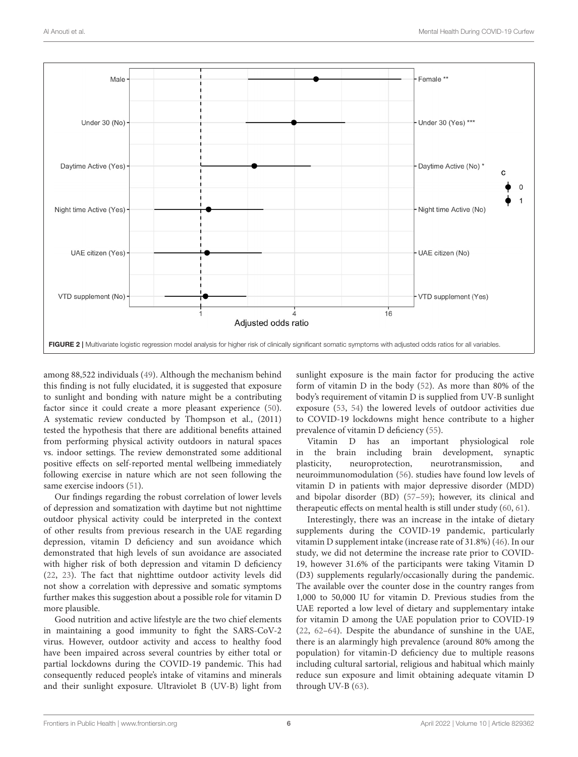

<span id="page-6-0"></span>among 88,522 individuals [\(49\)](#page-9-5). Although the mechanism behind this finding is not fully elucidated, it is suggested that exposure to sunlight and bonding with nature might be a contributing factor since it could create a more pleasant experience [\(50\)](#page-9-6). A systematic review conducted by Thompson et al., (2011) tested the hypothesis that there are additional benefits attained from performing physical activity outdoors in natural spaces vs. indoor settings. The review demonstrated some additional positive effects on self-reported mental wellbeing immediately following exercise in nature which are not seen following the same exercise indoors [\(51\)](#page-9-7).

Our findings regarding the robust correlation of lower levels of depression and somatization with daytime but not nighttime outdoor physical activity could be interpreted in the context of other results from previous research in the UAE regarding depression, vitamin D deficiency and sun avoidance which demonstrated that high levels of sun avoidance are associated with higher risk of both depression and vitamin D deficiency [\(22,](#page-8-37) [23\)](#page-8-20). The fact that nighttime outdoor activity levels did not show a correlation with depressive and somatic symptoms further makes this suggestion about a possible role for vitamin D more plausible.

Good nutrition and active lifestyle are the two chief elements in maintaining a good immunity to fight the SARS-CoV-2 virus. However, outdoor activity and access to healthy food have been impaired across several countries by either total or partial lockdowns during the COVID-19 pandemic. This had consequently reduced people's intake of vitamins and minerals and their sunlight exposure. Ultraviolet B (UV-B) light from sunlight exposure is the main factor for producing the active form of vitamin D in the body [\(52\)](#page-9-8). As more than 80% of the body's requirement of vitamin D is supplied from UV-B sunlight exposure [\(53,](#page-9-9) [54\)](#page-9-10) the lowered levels of outdoor activities due to COVID-19 lockdowns might hence contribute to a higher prevalence of vitamin D deficiency [\(55\)](#page-9-11).

Vitamin D has an important physiological role in the brain including brain development, synaptic plasticity, neuroprotection, neurotransmission, and neuroimmunomodulation [\(56\)](#page-9-12). studies have found low levels of vitamin D in patients with major depressive disorder (MDD) and bipolar disorder (BD) [\(57](#page-9-13)[–59\)](#page-9-14); however, its clinical and therapeutic effects on mental health is still under study [\(60,](#page-9-15) [61\)](#page-9-16).

Interestingly, there was an increase in the intake of dietary supplements during the COVID-19 pandemic, particularly vitamin D supplement intake (increase rate of 31.8%) [\(46\)](#page-9-2). In our study, we did not determine the increase rate prior to COVID-19, however 31.6% of the participants were taking Vitamin D (D3) supplements regularly/occasionally during the pandemic. The available over the counter dose in the country ranges from 1,000 to 50,000 IU for vitamin D. Previous studies from the UAE reported a low level of dietary and supplementary intake for vitamin D among the UAE population prior to COVID-19 [\(22,](#page-8-37) [62–](#page-9-17)[64\)](#page-9-18). Despite the abundance of sunshine in the UAE, there is an alarmingly high prevalence (around 80% among the population) for vitamin-D deficiency due to multiple reasons including cultural sartorial, religious and habitual which mainly reduce sun exposure and limit obtaining adequate vitamin D through UV-B [\(63\)](#page-9-19).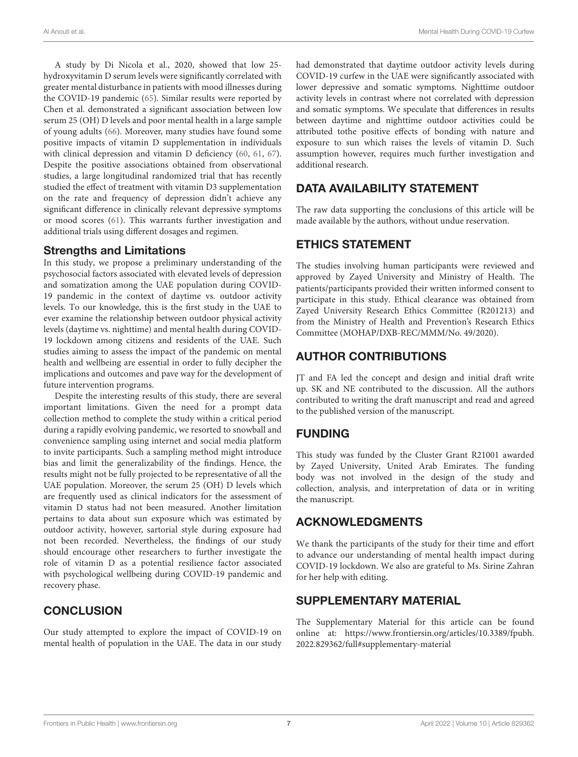A study by Di Nicola et al., 2020, showed that low 25 hydroxyvitamin D serum levels were significantly correlated with greater mental disturbance in patients with mood illnesses during the COVID-19 pandemic [\(65\)](#page-9-20). Similar results were reported by Chen et al. demonstrated a significant association between low serum 25 (OH) D levels and poor mental health in a large sample of young adults [\(66\)](#page-9-21). Moreover, many studies have found some positive impacts of vitamin D supplementation in individuals with clinical depression and vitamin D deficiency [\(60,](#page-9-15) [61,](#page-9-16) [67\)](#page-9-22). Despite the positive associations obtained from observational studies, a large longitudinal randomized trial that has recently studied the effect of treatment with vitamin D3 supplementation on the rate and frequency of depression didn't achieve any significant difference in clinically relevant depressive symptoms or mood scores [\(61\)](#page-9-16). This warrants further investigation and additional trials using different dosages and regimen.

#### Strengths and Limitations

In this study, we propose a preliminary understanding of the psychosocial factors associated with elevated levels of depression and somatization among the UAE population during COVID-19 pandemic in the context of daytime vs. outdoor activity levels. To our knowledge, this is the first study in the UAE to ever examine the relationship between outdoor physical activity levels (daytime vs. nighttime) and mental health during COVID-19 lockdown among citizens and residents of the UAE. Such studies aiming to assess the impact of the pandemic on mental health and wellbeing are essential in order to fully decipher the implications and outcomes and pave way for the development of future intervention programs.

Despite the interesting results of this study, there are several important limitations. Given the need for a prompt data collection method to complete the study within a critical period during a rapidly evolving pandemic, we resorted to snowball and convenience sampling using internet and social media platform to invite participants. Such a sampling method might introduce bias and limit the generalizability of the findings. Hence, the results might not be fully projected to be representative of all the UAE population. Moreover, the serum 25 (OH) D levels which are frequently used as clinical indicators for the assessment of vitamin D status had not been measured. Another limitation pertains to data about sun exposure which was estimated by outdoor activity, however, sartorial style during exposure had not been recorded. Nevertheless, the findings of our study should encourage other researchers to further investigate the role of vitamin D as a potential resilience factor associated with psychological wellbeing during COVID-19 pandemic and recovery phase.

# **CONCLUSION**

Our study attempted to explore the impact of COVID-19 on mental health of population in the UAE. The data in our study

had demonstrated that daytime outdoor activity levels during COVID-19 curfew in the UAE were significantly associated with lower depressive and somatic symptoms. Nighttime outdoor activity levels in contrast where not correlated with depression and somatic symptoms. We speculate that differences in results between daytime and nighttime outdoor activities could be attributed tothe positive effects of bonding with nature and exposure to sun which raises the levels of vitamin D. Such assumption however, requires much further investigation and additional research.

# DATA AVAILABILITY STATEMENT

The raw data supporting the conclusions of this article will be made available by the authors, without undue reservation.

# ETHICS STATEMENT

The studies involving human participants were reviewed and approved by Zayed University and Ministry of Health. The patients/participants provided their written informed consent to participate in this study. Ethical clearance was obtained from Zayed University Research Ethics Committee (R201213) and from the Ministry of Health and Prevention's Research Ethics Committee (MOHAP/DXB-REC/MMM/No. 49/2020).

# AUTHOR CONTRIBUTIONS

JT and FA led the concept and design and initial draft write up. SK and NE contributed to the discussion. All the authors contributed to writing the draft manuscript and read and agreed to the published version of the manuscript.

# FUNDING

This study was funded by the Cluster Grant R21001 awarded by Zayed University, United Arab Emirates. The funding body was not involved in the design of the study and collection, analysis, and interpretation of data or in writing the manuscript.

# ACKNOWLEDGMENTS

We thank the participants of the study for their time and effort to advance our understanding of mental health impact during COVID-19 lockdown. We also are grateful to Ms. Sirine Zahran for her help with editing.

## SUPPLEMENTARY MATERIAL

<span id="page-7-0"></span>The Supplementary Material for this article can be found [online at: https://www.frontiersin.org/articles/10.3389/fpubh.](https://www.frontiersin.org/articles/10.3389/fpubh.2022.829362/full#supplementary-material) 2022.829362/full#supplementary-material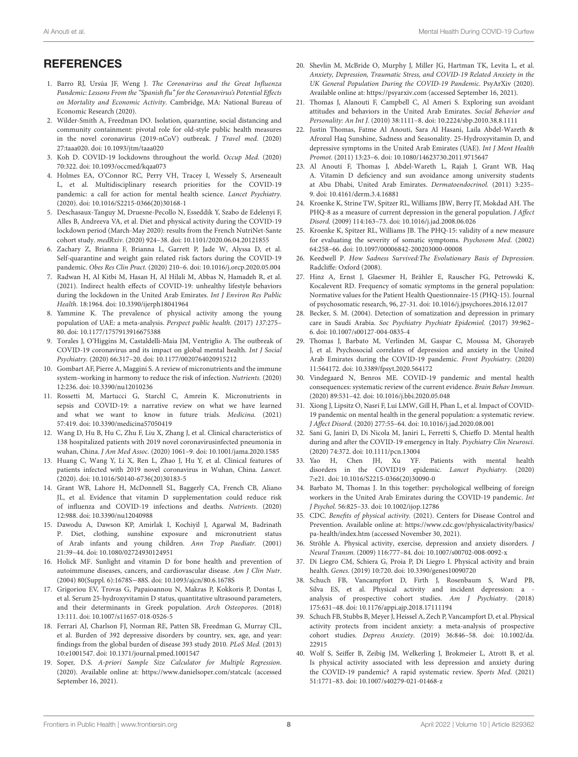# **REFERENCES**

- <span id="page-8-0"></span>1. Barro RJ, Ursúa JF, Weng J. The Coronavirus and the Great Influenza Pandemic: Lessons From the "Spanish flu" for the Coronavirus's Potential Effects on Mortality and Economic Activity. Cambridge, MA: National Bureau of Economic Research (2020).
- <span id="page-8-1"></span>2. Wilder-Smith A, Freedman DO. Isolation, quarantine, social distancing and community containment: pivotal role for old-style public health measures in the novel coronavirus (2019-nCoV) outbreak. J Travel med. (2020) 27:taaa020. doi: [10.1093/jtm/taaa020](https://doi.org/10.1093/jtm/taaa020)
- <span id="page-8-2"></span>3. Koh D. COVID-19 lockdowns throughout the world. Occup Med. (2020) 70:322. doi: [10.1093/occmed/kqaa073](https://doi.org/10.1093/occmed/kqaa073)
- <span id="page-8-3"></span>4. Holmes EA, O'Connor RC, Perry VH, Tracey I, Wessely S, Arseneault L, et al. Multidisciplinary research priorities for the COVID-19 pandemic: a call for action for mental health science. Lancet Psychiatry. (2020). doi: [10.1016/S2215-0366\(20\)30168-1](https://doi.org/10.1016/S2215-0366(20)30168-1)
- <span id="page-8-4"></span>5. Deschasaux-Tanguy M, Druesne-Pecollo N, Esseddik Y, Szabo de Edelenyi F, Alles B, Andreeva VA, et al. Diet and physical activity during the COVID-19 lockdown period (March-May 2020): results from the French NutriNet-Sante cohort study. medRxiv. (2020) 924–38. doi: [10.1101/2020.06.04.20121855](https://doi.org/10.1101/2020.06.04.20121855)
- 6. Zachary Z, Brianna F, Brianna L, Garrett P, Jade W, Alyssa D, et al. Self-quarantine and weight gain related risk factors during the COVID-19 pandemic. Obes Res Clin Pract. (2020) 210–6. doi: [10.1016/j.orcp.2020.05.004](https://doi.org/10.1016/j.orcp.2020.05.004)
- <span id="page-8-5"></span>7. Radwan H, Al Kitbi M, Hasan H, Al Hilali M, Abbas N, Hamadeh R, et al. (2021). Indirect health effects of COVID-19: unhealthy lifestyle behaviors during the lockdown in the United Arab Emirates. Int J Environ Res Public Health. 18:1964. doi: [10.3390/ijerph18041964](https://doi.org/10.3390/ijerph18041964)
- <span id="page-8-6"></span>8. Yammine K. The prevalence of physical activity among the young population of UAE: a meta-analysis. Perspect public health. (2017) 137:275– 80. doi: [10.1177/1757913916675388](https://doi.org/10.1177/1757913916675388)
- <span id="page-8-7"></span>9. Torales J, O'Higgins M, Castaldelli-Maia JM, Ventriglio A. The outbreak of COVID-19 coronavirus and its impact on global mental health. Int J Social Psychiatry. (2020) 66:317–20. doi: [10.1177/0020764020915212](https://doi.org/10.1177/0020764020915212)
- <span id="page-8-8"></span>10. Gombart AF, Pierre A, Maggini S. A review of micronutrients and the immune system–working in harmony to reduce the risk of infection. Nutrients. (2020) 12:236. doi: [10.3390/nu12010236](https://doi.org/10.3390/nu12010236)
- <span id="page-8-9"></span>11. Rossetti M, Martucci G, Starchl C, Amrein K. Micronutrients in sepsis and COVID-19: a narrative review on what we have learned and what we want to know in future trials. Medicina. (2021) 57:419. doi: [10.3390/medicina57050419](https://doi.org/10.3390/medicina57050419)
- <span id="page-8-10"></span>12. Wang D, Hu B, Hu C, Zhu F, Liu X, Zhang J, et al. Clinical characteristics of 138 hospitalized patients with 2019 novel coronavirusinfected pneumonia in wuhan, China. J Am Med Assoc. (2020) 1061–9. doi: [10.1001/jama.2020.1585](https://doi.org/10.1001/jama.2020.1585)
- <span id="page-8-11"></span>13. Huang C, Wang Y, Li X, Ren L, Zhao J, Hu Y, et al. Clinical features of patients infected with 2019 novel coronavirus in Wuhan, China. Lancet. (2020). doi: [10.1016/S0140-6736\(20\)30183-5](https://doi.org/10.1016/S0140-6736(20)30183-5)
- <span id="page-8-12"></span>14. Grant WB, Lahore H, McDonnell SL, Baggerly CA, French CB, Aliano JL, et al. Evidence that vitamin D supplementation could reduce risk of influenza and COVID-19 infections and deaths. Nutrients. (2020) 12:988. doi: [10.3390/nu12040988](https://doi.org/10.3390/nu12040988)
- <span id="page-8-13"></span>15. Dawodu A, Dawson KP, Amirlak I, Kochiyil J, Agarwal M, Badrinath P. Diet, clothing, sunshine exposure and micronutrient status of Arab infants and young children. Ann Trop Paediatr. (2001) 21:39–44. doi: [10.1080/02724930124951](https://doi.org/10.1080/02724930124951)
- <span id="page-8-14"></span>16. Holick MF. Sunlight and vitamin D for bone health and prevention of autoimmune diseases, cancers, and cardiovascular disease. Am J Clin Nutr. (2004) 80(Suppl. 6):1678S−88S. doi: [10.1093/ajcn/80.6.1678S](https://doi.org/10.1093/ajcn/80.6.1678S)
- <span id="page-8-15"></span>17. Grigoriou EV, Trovas G, Papaioannou N, Makras P, Kokkoris P, Dontas I, et al. Serum 25-hydroxyvitamin D status, quantitative ultrasound parameters, and their determinants in Greek population. Arch Osteoporos. (2018) 13:111. doi: [10.1007/s11657-018-0526-5](https://doi.org/10.1007/s11657-018-0526-5)
- <span id="page-8-16"></span>18. Ferrari AJ, Charlson FJ, Norman RE, Patten SB, Freedman G, Murray CJL, et al. Burden of 392 depressive disorders by country, sex, age, and year: findings from the global burden of disease 393 study 2010. PLoS Med. (2013) 10:e1001547. doi: [10.1371/journal.pmed.1001547](https://doi.org/10.1371/journal.pmed.1001547)
- <span id="page-8-17"></span>19. Soper, D.S. A-priori Sample Size Calculator for Multiple Regression. (2020). Available online at:<https://www.danielsoper.com/statcalc> (accessed September 16, 2021).
- <span id="page-8-18"></span>20. Shevlin M, McBride O, Murphy J, Miller JG, Hartman TK, Levita L, et al. Anxiety, Depression, Traumatic Stress, and COVID-19 Related Anxiety in the UK General Population During the COVID-19 Pandemic. PsyArXiv (2020). Available online at:<https://psyarxiv.com> (accessed September 16, 2021).
- <span id="page-8-19"></span>21. Thomas J, Alanouti F, Campbell C, Al Ameri S. Exploring sun avoidant attitudes and behaviors in the United Arab Emirates. Social Behavior and Personality: An Int J. (2010) 38:1111–8. doi: [10.2224/sbp.2010.38.8.1111](https://doi.org/10.2224/sbp.2010.38.8.1111)
- <span id="page-8-37"></span>22. Justin Thomas, Fatme Al Anouti, Sara Al Hasani, Laila Abdel-Wareth & Afrozul Haq Sunshine, Sadness and Seasonality. 25-Hydroxyvitamin D, and depressive symptoms in the United Arab Emirates (UAE). Int J Ment Health Promot. (2011) 13:23–6. doi: [10.1080/14623730.2011.9715647](https://doi.org/10.1080/14623730.2011.9715647)
- <span id="page-8-20"></span>23. Al Anouti F, Thomas J, Abdel-Wareth L, Rajah J, Grant WB, Haq A. Vitamin D deficiency and sun avoidance among university students at Abu Dhabi, United Arab Emirates. Dermatoendocrinol. (2011) 3:235– 9. doi: [10.4161/derm.3.4.16881](https://doi.org/10.4161/derm.3.4.16881)
- <span id="page-8-21"></span>24. Kroenke K, Strine TW, Spitzer RL, Williams JBW, Berry JT, Mokdad AH. The PHQ-8 as a measure of current depression in the general population. J Affect Disord. (2009) 114:163–73. doi: [10.1016/j.jad.2008.06.026](https://doi.org/10.1016/j.jad.2008.06.026)
- <span id="page-8-22"></span>25. Kroenke K, Spitzer RL, Williams JB. The PHQ-15: validity of a new measure for evaluating the severity of somatic symptoms. Psychosom Med. (2002) 64:258–66. doi: [10.1097/00006842-200203000-00008](https://doi.org/10.1097/00006842-200203000-00008)
- <span id="page-8-23"></span>26. Keedwell P. How Sadness Survived:The Evolutionary Basis of Depression. Radcliffe: Oxford (2008).
- <span id="page-8-24"></span>27. Hinz A, Ernst J, Glaesmer H, Brähler E, Rauscher FG, Petrowski K, Kocalevent RD. Frequency of somatic symptoms in the general population: Normative values for the Patient Health Questionnaire-15 (PHQ-15). Journal of psychosomatic research, 96, 27-31. doi: [10.1016/j.jpsychores.2016.12.017](https://doi.org/10.1016/j.jpsychores.2016.12.017)
- <span id="page-8-25"></span>28. Becker, S. M. (2004). Detection of somatization and depression in primary care in Saudi Arabia. Soc Psychiatry Psychiatr Epidemiol. (2017) 39:962– 6. doi: [10.1007/s00127-004-0835-4](https://doi.org/10.1007/s00127-004-0835-4)
- <span id="page-8-26"></span>29. Thomas J, Barbato M, Verlinden M, Gaspar C, Moussa M, Ghorayeb J, et al. Psychosocial correlates of depression and anxiety in the United Arab Emirates during the COVID-19 pandemic. Front Psychiatry. (2020) 11:564172. doi: [10.3389/fpsyt.2020.564172](https://doi.org/10.3389/fpsyt.2020.564172)
- <span id="page-8-27"></span>30. Vindegaard N, Benros ME. COVID-19 pandemic and mental health consequences: systematic review of the current evidence. Brain Behav Immun. (2020) 89:531–42. doi: [10.1016/j.bbi.2020.05.048](https://doi.org/10.1016/j.bbi.2020.05.048)
- 31. Xiong J, Lipsitz O, Nasri F, Lui LMW, Gill H, Phan L, et al. Impact of COVID-19 pandemic on mental health in the general population: a systematic review. J Affect Disord. (2020) 277:55–64. doi: [10.1016/j.jad.2020.08.001](https://doi.org/10.1016/j.jad.2020.08.001)
- <span id="page-8-28"></span>32. Sani G, Janiri D, Di Nicola M, Janiri L, Ferretti S, Chieffo D. Mental health during and after the COVID-19 emergency in Italy. Psychiatry Clin Neurosci. (2020) 74:372. doi: [10.1111/pcn.13004](https://doi.org/10.1111/pcn.13004)
- <span id="page-8-29"></span>33. Yao H, Chen JH, Xu YF. Patients with mental health disorders in the COVID19 epidemic. Lancet Psychiatry. (2020) 7:e21. doi: [10.1016/S2215-0366\(20\)30090-0](https://doi.org/10.1016/S2215-0366(20)30090-0)
- <span id="page-8-30"></span>34. Barbato M, Thomas J. In this together: psychological wellbeing of foreign workers in the United Arab Emirates during the COVID-19 pandemic. Int J Psychol. 56:825–33. doi: [10.1002/ijop.12786](https://doi.org/10.1002/ijop.12786)
- <span id="page-8-31"></span>35. CDC. Benefits of physical activity. (2021). Centers for Disease Control and Prevention. Available online at: [https://www.cdc.gov/physicalactivity/basics/](https://www.cdc.gov/physicalactivity/basics/pa-health/index.htm) [pa-health/index.htm](https://www.cdc.gov/physicalactivity/basics/pa-health/index.htm) (accessed November 30, 2021).
- <span id="page-8-32"></span>36. Ströhle A. Physical activity, exercise, depression and anxiety disorders. J Neural Transm. (2009) 116:777–84. doi: [10.1007/s00702-008-0092-x](https://doi.org/10.1007/s00702-008-0092-x)
- <span id="page-8-33"></span>37. Di Liegro CM, Schiera G, Proia P, Di Liegro I. Physical activity and brain health. Genes. (2019) 10:720. doi: [10.3390/genes10090720](https://doi.org/10.3390/genes10090720)
- <span id="page-8-34"></span>38. Schuch FB, Vancampfort D, Firth J, Rosenbaum S, Ward PB, Silva ES, et al. Physical activity and incident depression: a analysis of prospective cohort studies. Am J Psychiatry. (2018) 175:631–48. doi: [10.1176/appi.ajp.2018.17111194](https://doi.org/10.1176/appi.ajp.2018.17111194)
- <span id="page-8-35"></span>39. Schuch FB, Stubbs B, Meyer J, Heissel A, Zech P, Vancampfort D, et al. Physical activity protects from incident anxiety: a meta-analysis of prospective cohort studies. Depress Anxiety[. \(2019\) 36:846–58. doi: 10.1002/da.](https://doi.org/10.1002/da.22915) 22915
- <span id="page-8-36"></span>40. Wolf S, Seiffer B, Zeibig JM, Welkerling J, Brokmeier L, Atrott B, et al. Is physical activity associated with less depression and anxiety during the COVID-19 pandemic? A rapid systematic review. Sports Med. (2021) 51:1771–83. doi: [10.1007/s40279-021-01468-z](https://doi.org/10.1007/s40279-021-01468-z)